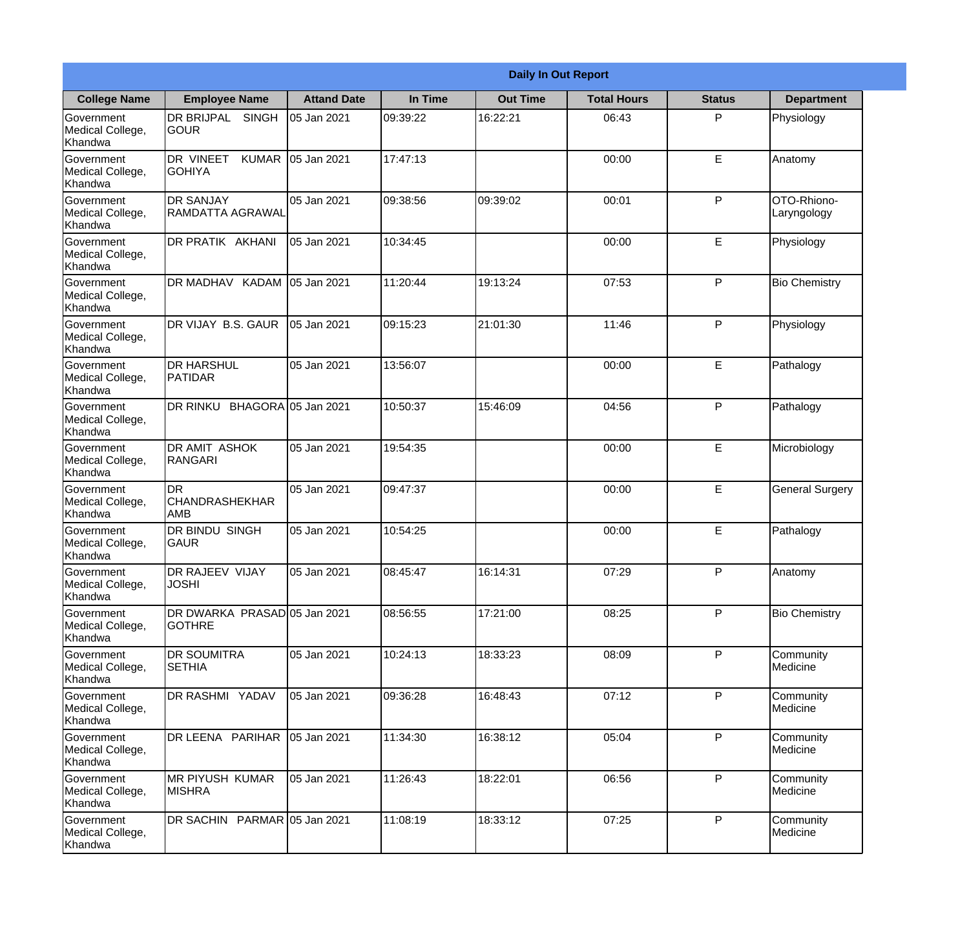|                                                  |                                               |                     |          | <b>Daily In Out Report</b> |                    |               |                            |
|--------------------------------------------------|-----------------------------------------------|---------------------|----------|----------------------------|--------------------|---------------|----------------------------|
| <b>College Name</b>                              | <b>Employee Name</b>                          | <b>Attand Date</b>  | In Time  | <b>Out Time</b>            | <b>Total Hours</b> | <b>Status</b> | <b>Department</b>          |
| Government<br>Medical College,<br>Khandwa        | DR BRIJPAL<br><b>SINGH</b><br><b>GOUR</b>     | 05 Jan 2021         | 09:39:22 | 16:22:21                   | 06:43              | P             | Physiology                 |
| Government<br>Medical College,<br>Khandwa        | DR VINEET<br><b>KUMAR</b><br><b>I</b> GOHIYA  | 05 Jan 2021         | 17:47:13 |                            | 00:00              | E             | Anatomy                    |
| Government<br>Medical College,<br>Khandwa        | <b>DR SANJAY</b><br><b>RAMDATTA AGRAWAL</b>   | 05 Jan 2021         | 09:38:56 | 09:39:02                   | 00:01              | P             | OTO-Rhiono-<br>Laryngology |
| Government<br>Medical College,<br>Khandwa        | DR PRATIK AKHANI                              | 05 Jan 2021         | 10:34:45 |                            | 00:00              | E             | Physiology                 |
| Government<br>Medical College,<br>Khandwa        | DR MADHAV KADAM 05 Jan 2021                   |                     | 11:20:44 | 19:13:24                   | 07:53              | P             | <b>Bio Chemistry</b>       |
| Government<br>Medical College,<br>Khandwa        | DR VIJAY B.S. GAUR                            | 05 Jan 2021         | 09:15:23 | 21:01:30                   | 11:46              | P             | Physiology                 |
| <b>Government</b><br>Medical College,<br>Khandwa | <b>DR HARSHUL</b><br>PATIDAR                  | 05 Jan 2021         | 13:56:07 |                            | 00:00              | E             | Pathalogy                  |
| Government<br>Medical College,<br>Khandwa        | DR RINKU                                      | BHAGORA 05 Jan 2021 | 10:50:37 | 15:46:09                   | 04:56              | P             | Pathalogy                  |
| Government<br>Medical College,<br>Khandwa        | <b>DR AMIT ASHOK</b><br><b>RANGARI</b>        | 05 Jan 2021         | 19:54:35 |                            | 00:00              | E             | Microbiology               |
| Government<br>Medical College,<br>Khandwa        | DR<br><b>CHANDRASHEKHAR</b><br><b>AMB</b>     | 05 Jan 2021         | 09:47:37 |                            | 00:00              | E             | <b>General Surgery</b>     |
| Government<br>Medical College,<br>Khandwa        | <b>DR BINDU SINGH</b><br><b>GAUR</b>          | 05 Jan 2021         | 10:54:25 |                            | 00:00              | E             | Pathalogy                  |
| Government<br>Medical College,<br>Khandwa        | DR RAJEEV VIJAY<br><b>JOSHI</b>               | 05 Jan 2021         | 08:45:47 | 16:14:31                   | 07:29              | P             | Anatomy                    |
| Government<br>Medical College,<br>Khandwa        | DR DWARKA PRASAD 05 Jan 2021<br><b>GOTHRE</b> |                     | 08:56:55 | 17:21:00                   | 08:25              | P             | <b>Bio Chemistry</b>       |
| Government<br>Medical College,<br>Khandwa        | <b>DR SOUMITRA</b><br><b>SETHIA</b>           | 05 Jan 2021         | 10:24:13 | 18:33:23                   | 08:09              | P             | Community<br>Medicine      |
| <b>Government</b><br>Medical College,<br>Khandwa | DR RASHMI YADAV                               | 05 Jan 2021         | 09:36:28 | 16:48:43                   | 07:12              | P             | Community<br>Medicine      |
| Government<br>Medical College,<br>Khandwa        | DR LEENA PARIHAR                              | 05 Jan 2021         | 11:34:30 | 16:38:12                   | 05:04              | P             | Community<br>Medicine      |
| Government<br>Medical College,<br>Khandwa        | <b>MR PIYUSH KUMAR</b><br><b>MISHRA</b>       | 05 Jan 2021         | 11:26:43 | 18:22:01                   | 06:56              | P             | Community<br>Medicine      |
| Government<br>Medical College,<br>Khandwa        | DR SACHIN PARMAR 05 Jan 2021                  |                     | 11:08:19 | 18:33:12                   | 07:25              | P             | Community<br>Medicine      |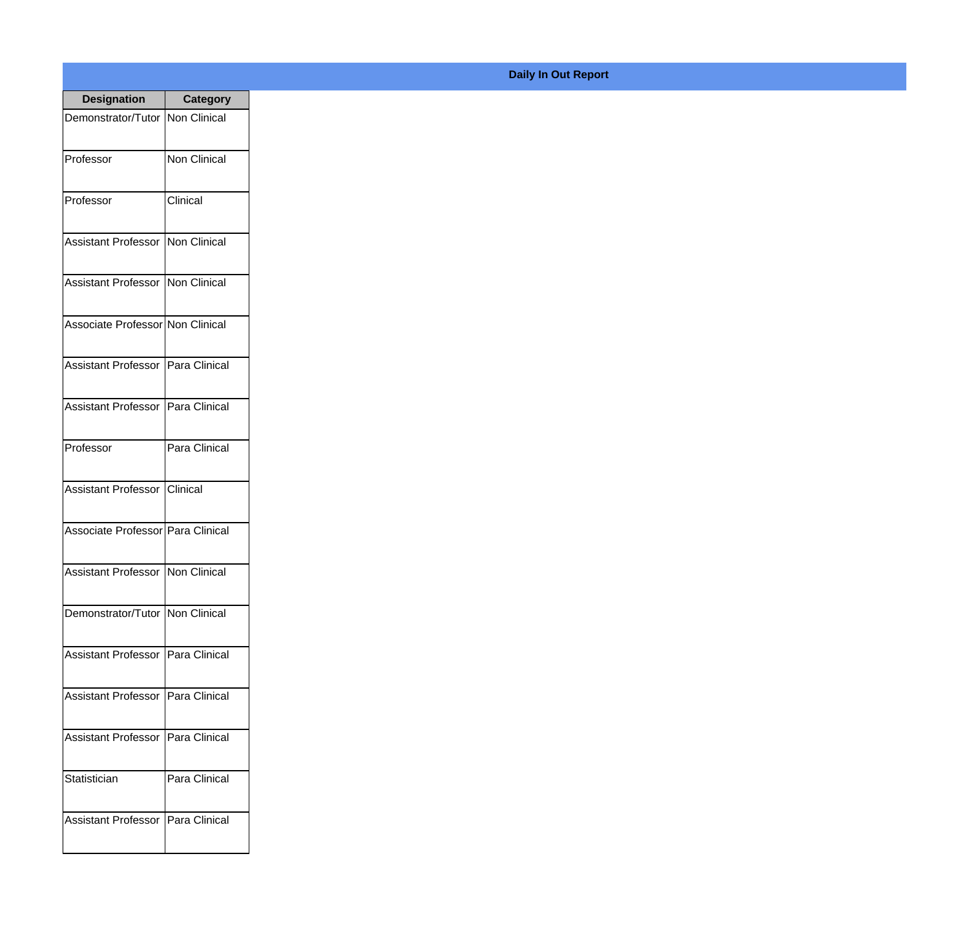| <b>Designation</b>                  | <b>Category</b> |
|-------------------------------------|-----------------|
| Demonstrator/Tutor   Non Clinical   |                 |
| Professor                           | Non Clinical    |
| Professor                           | Clinical        |
| <b>Assistant Professor</b>          | Non Clinical    |
| Assistant Professor   Non Clinical  |                 |
| Associate Professor Non Clinical    |                 |
| Assistant Professor   Para Clinical |                 |
| Assistant Professor   Para Clinical |                 |
| Professor                           | Para Clinical   |
| Assistant Professor   Clinical      |                 |
| Associate Professor Para Clinical   |                 |
| Assistant Professor Non Clinical    |                 |
| Demonstrator/Tutor Non Clinical     |                 |
| Assistant Professor   Para Clinical |                 |
| <b>Assistant Professor</b>          | Para Clinical   |
| <b>Assistant Professor</b>          | Para Clinical   |
| Statistician                        | Para Clinical   |
| <b>Assistant Professor</b>          | Para Clinical   |

## **Daily In Out Report**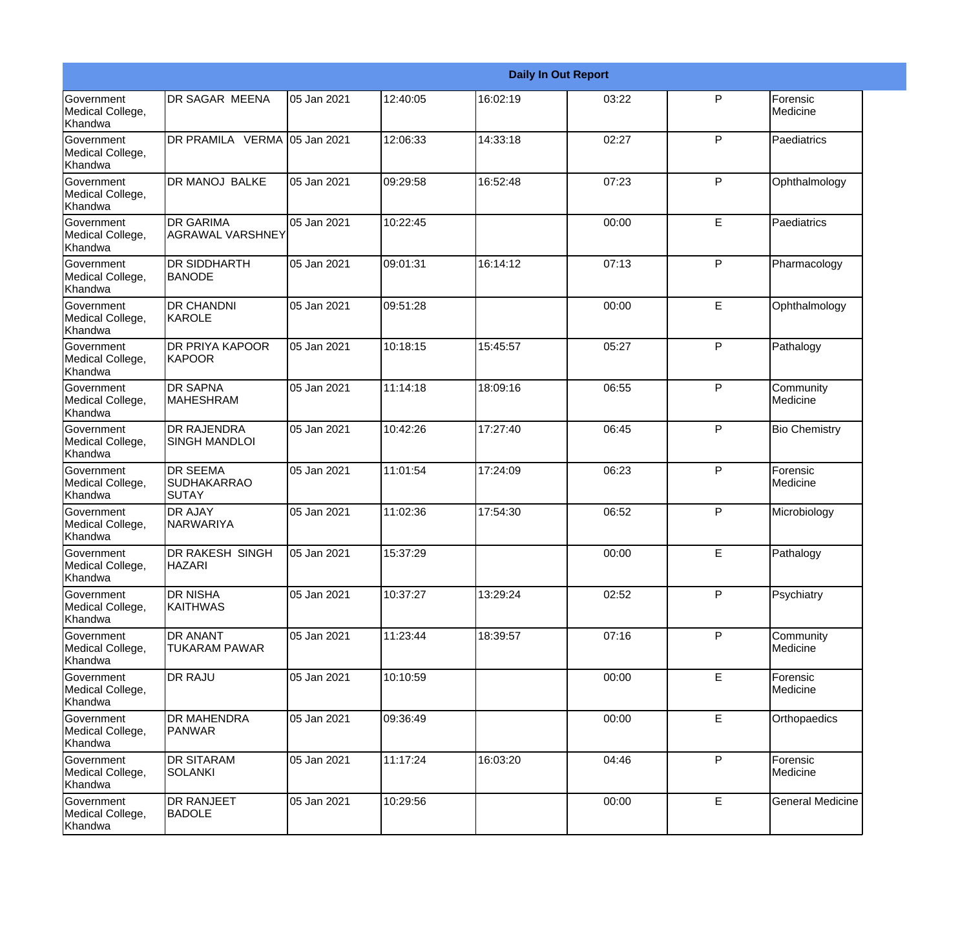|                                                  |                                                |             |          |          | <b>Daily In Out Report</b> |              |                         |
|--------------------------------------------------|------------------------------------------------|-------------|----------|----------|----------------------------|--------------|-------------------------|
| Government<br>Medical College,<br>Khandwa        | <b>DR SAGAR MEENA</b>                          | 05 Jan 2021 | 12:40:05 | 16:02:19 | 03:22                      | P            | Forensic<br>Medicine    |
| Government<br>Medical College,<br>Khandwa        | DR PRAMILA VERMA 05 Jan 2021                   |             | 12:06:33 | 14:33:18 | 02:27                      | P            | Paediatrics             |
| <b>Government</b><br>Medical College,<br>Khandwa | <b>DR MANOJ BALKE</b>                          | 05 Jan 2021 | 09:29:58 | 16:52:48 | 07:23                      | P            | Ophthalmology           |
| <b>Government</b><br>Medical College,<br>Khandwa | <b>DR GARIMA</b><br><b>AGRAWAL VARSHNEY</b>    | 05 Jan 2021 | 10:22:45 |          | 00:00                      | E            | Paediatrics             |
| Government<br>Medical College,<br>Khandwa        | DR SIDDHARTH<br><b>BANODE</b>                  | 05 Jan 2021 | 09:01:31 | 16:14:12 | 07:13                      | P            | Pharmacology            |
| Government<br>Medical College,<br>Khandwa        | <b>DR CHANDNI</b><br>KAROLE                    | 05 Jan 2021 | 09:51:28 |          | 00:00                      | E            | Ophthalmology           |
| Government<br>Medical College,<br>Khandwa        | <b>DR PRIYA KAPOOR</b><br><b>KAPOOR</b>        | 05 Jan 2021 | 10:18:15 | 15:45:57 | 05:27                      | P            | Pathalogy               |
| Government<br>Medical College,<br>Khandwa        | <b>DR SAPNA</b><br><b>MAHESHRAM</b>            | 05 Jan 2021 | 11:14:18 | 18:09:16 | 06:55                      | $\mathsf{P}$ | Community<br>Medicine   |
| Government<br>Medical College,<br>Khandwa        | <b>DR RAJENDRA</b><br><b>SINGH MANDLOI</b>     | 05 Jan 2021 | 10:42:26 | 17:27:40 | 06:45                      | $\mathsf{P}$ | <b>Bio Chemistry</b>    |
| Government<br>Medical College,<br>Khandwa        | <b>DR SEEMA</b><br><b>SUDHAKARRAO</b><br>SUTAY | 05 Jan 2021 | 11:01:54 | 17:24:09 | 06:23                      | P            | Forensic<br>Medicine    |
| <b>Government</b><br>Medical College,<br>Khandwa | <b>DR AJAY</b><br>NARWARIYA                    | 05 Jan 2021 | 11:02:36 | 17:54:30 | 06:52                      | P            | Microbiology            |
| Government<br>Medical College,<br>Khandwa        | DR RAKESH SINGH<br><b>HAZARI</b>               | 05 Jan 2021 | 15:37:29 |          | 00:00                      | E            | Pathalogy               |
| Government<br>Medical College,<br>Khandwa        | DR NISHA<br><b>KAITHWAS</b>                    | 05 Jan 2021 | 10:37:27 | 13:29:24 | 02:52                      | $\mathsf{P}$ | Psychiatry              |
| Government<br>Medical College,<br>Khandwa        | DR ANANT<br><b>TUKARAM PAWAR</b>               | 05 Jan 2021 | 11:23:44 | 18:39:57 | 07:16                      | P            | Community<br>Medicine   |
| Government<br>Medical College,<br>Khandwa        | <b>DR RAJU</b>                                 | 05 Jan 2021 | 10:10:59 |          | 00:00                      | E            | Forensic<br>Medicine    |
| Government<br>Medical College,<br>Khandwa        | DR MAHENDRA<br>PANWAR                          | 05 Jan 2021 | 09:36:49 |          | 00:00                      | E            | Orthopaedics            |
| Government<br>Medical College,<br>Khandwa        | <b>DR SITARAM</b><br><b>SOLANKI</b>            | 05 Jan 2021 | 11:17:24 | 16:03:20 | 04:46                      | P            | Forensic<br>Medicine    |
| Government<br>Medical College,<br>Khandwa        | DR RANJEET<br><b>BADOLE</b>                    | 05 Jan 2021 | 10:29:56 |          | 00:00                      | E            | <b>General Medicine</b> |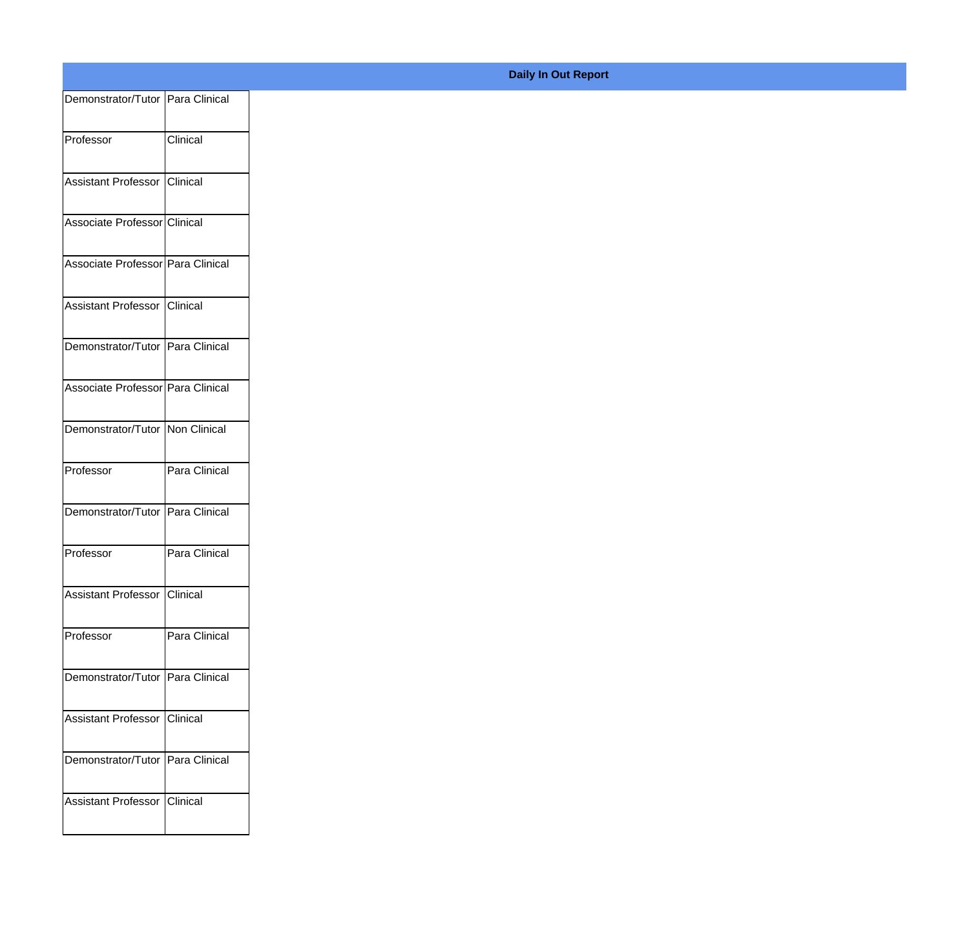| Demonstrator/Tutor Para Clinical<br>Clinical<br>Professor<br>Clinical<br>Assistant Professor<br>Associate Professor Clinical<br>Associate Professor Para Clinical<br>Assistant Professor Clinical<br>Demonstrator/Tutor Para Clinical<br>Associate Professor Para Clinical<br>Demonstrator/Tutor Non Clinical<br>Para Clinical<br>Professor<br>Demonstrator/Tutor Para Clinical<br>Para Clinical<br>Professor<br>Assistant Professor<br>Clinical |
|--------------------------------------------------------------------------------------------------------------------------------------------------------------------------------------------------------------------------------------------------------------------------------------------------------------------------------------------------------------------------------------------------------------------------------------------------|
|                                                                                                                                                                                                                                                                                                                                                                                                                                                  |
|                                                                                                                                                                                                                                                                                                                                                                                                                                                  |
|                                                                                                                                                                                                                                                                                                                                                                                                                                                  |
|                                                                                                                                                                                                                                                                                                                                                                                                                                                  |
|                                                                                                                                                                                                                                                                                                                                                                                                                                                  |
|                                                                                                                                                                                                                                                                                                                                                                                                                                                  |
|                                                                                                                                                                                                                                                                                                                                                                                                                                                  |
|                                                                                                                                                                                                                                                                                                                                                                                                                                                  |
|                                                                                                                                                                                                                                                                                                                                                                                                                                                  |
|                                                                                                                                                                                                                                                                                                                                                                                                                                                  |
|                                                                                                                                                                                                                                                                                                                                                                                                                                                  |
|                                                                                                                                                                                                                                                                                                                                                                                                                                                  |
|                                                                                                                                                                                                                                                                                                                                                                                                                                                  |
|                                                                                                                                                                                                                                                                                                                                                                                                                                                  |
| Para Clinical<br>Professor                                                                                                                                                                                                                                                                                                                                                                                                                       |
| Demonstrator/Tutor Para Clinical                                                                                                                                                                                                                                                                                                                                                                                                                 |
|                                                                                                                                                                                                                                                                                                                                                                                                                                                  |
| Assistant Professor Clinical                                                                                                                                                                                                                                                                                                                                                                                                                     |
| Demonstrator/Tutor Para Clinical                                                                                                                                                                                                                                                                                                                                                                                                                 |
| Clinical<br>Assistant Professor                                                                                                                                                                                                                                                                                                                                                                                                                  |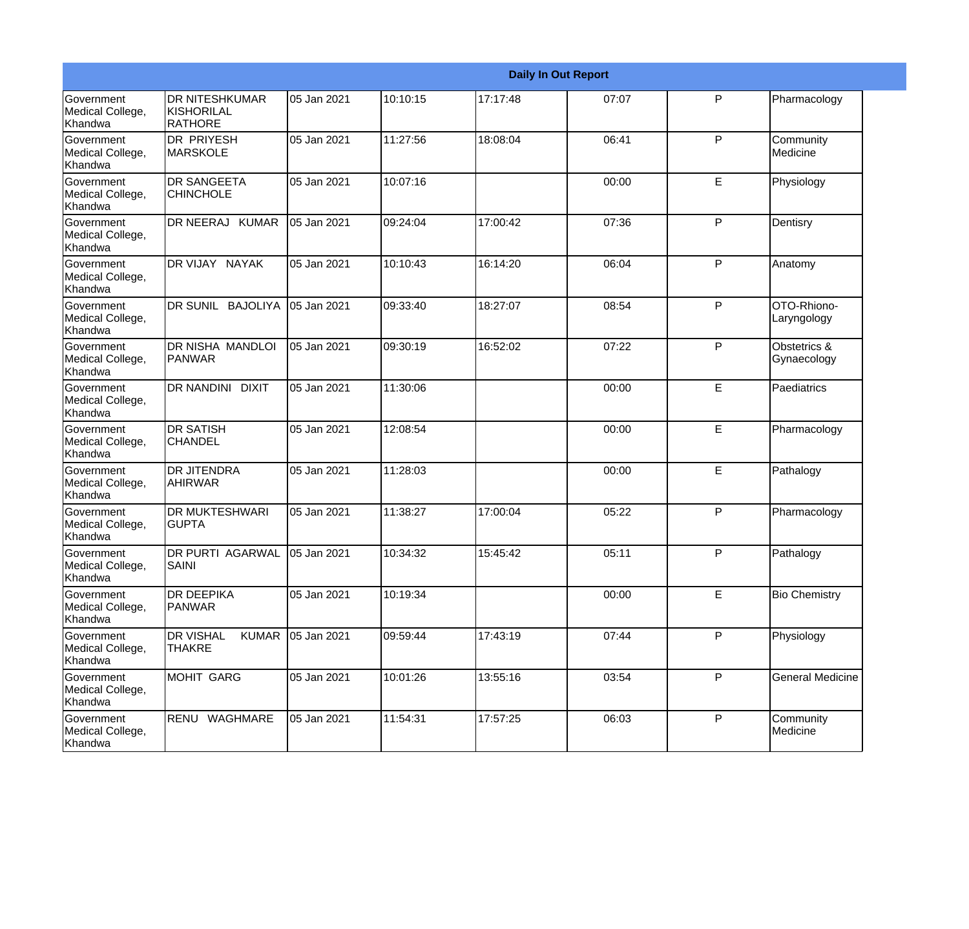|                                                  |                                                   |             |          |          | <b>Daily In Out Report</b> |   |                             |
|--------------------------------------------------|---------------------------------------------------|-------------|----------|----------|----------------------------|---|-----------------------------|
| <b>Government</b><br>Medical College,<br>Khandwa | <b>DR NITESHKUMAR</b><br>KISHORILAL<br>RATHORE    | 05 Jan 2021 | 10:10:15 | 17:17:48 | 07:07                      | P | Pharmacology                |
| Government<br>Medical College,<br>Khandwa        | <b>DR PRIYESH</b><br><b>MARSKOLE</b>              | 05 Jan 2021 | 11:27:56 | 18:08:04 | 06:41                      | P | Community<br>Medicine       |
| Government<br>Medical College,<br>Khandwa        | <b>DR SANGEETA</b><br><b>CHINCHOLE</b>            | 05 Jan 2021 | 10:07:16 |          | 00:00                      | E | Physiology                  |
| Government<br>Medical College,<br>Khandwa        | DR NEERAJ KUMAR                                   | 05 Jan 2021 | 09:24:04 | 17:00:42 | 07:36                      | P | Dentisry                    |
| Government<br>Medical College,<br>Khandwa        | DR VIJAY NAYAK                                    | 05 Jan 2021 | 10:10:43 | 16:14:20 | 06:04                      | P | Anatomy                     |
| Government<br>Medical College,<br>Khandwa        | DR SUNIL BAJOLIYA                                 | 05 Jan 2021 | 09:33:40 | 18:27:07 | 08:54                      | P | OTO-Rhiono-<br>Laryngology  |
| <b>Government</b><br>Medical College,<br>Khandwa | DR NISHA MANDLOI<br><b>PANWAR</b>                 | 05 Jan 2021 | 09:30:19 | 16:52:02 | 07:22                      | P | Obstetrics &<br>Gynaecology |
| Government<br>Medical College,<br>Khandwa        | DR NANDINI DIXIT                                  | 05 Jan 2021 | 11:30:06 |          | 00:00                      | E | Paediatrics                 |
| Government<br>Medical College,<br>Khandwa        | <b>DR SATISH</b><br><b>CHANDEL</b>                | 05 Jan 2021 | 12:08:54 |          | 00:00                      | E | Pharmacology                |
| <b>Government</b><br>Medical College,<br>Khandwa | <b>DR JITENDRA</b><br>AHIRWAR                     | 05 Jan 2021 | 11:28:03 |          | 00:00                      | E | Pathalogy                   |
| Government<br>Medical College,<br>Khandwa        | <b>DR MUKTESHWARI</b><br><b>GUPTA</b>             | 05 Jan 2021 | 11:38:27 | 17:00:04 | 05:22                      | P | Pharmacology                |
| Government<br>Medical College,<br>Khandwa        | DR PURTI AGARWAL<br>SAINI                         | 05 Jan 2021 | 10:34:32 | 15:45:42 | 05:11                      | P | Pathalogy                   |
| Government<br>Medical College,<br>Khandwa        | <b>DR DEEPIKA</b><br><b>PANWAR</b>                | 05 Jan 2021 | 10:19:34 |          | 00:00                      | E | <b>Bio Chemistry</b>        |
| Government<br>Medical College,<br>Khandwa        | <b>DR VISHAL</b><br><b>KUMAR</b><br><b>THAKRE</b> | 05 Jan 2021 | 09:59:44 | 17:43:19 | 07:44                      | P | Physiology                  |
| Government<br>Medical College,<br>Khandwa        | <b>MOHIT GARG</b>                                 | 05 Jan 2021 | 10:01:26 | 13:55:16 | 03:54                      | P | <b>General Medicine</b>     |
| Government<br>Medical College,<br>Khandwa        | RENU WAGHMARE                                     | 05 Jan 2021 | 11:54:31 | 17:57:25 | 06:03                      | P | Community<br>Medicine       |